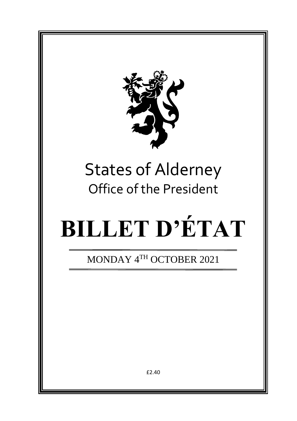

# States of Alderney Office of the President

# **BILLET D'ÉTAT**

MONDAY 4TH OCTOBER 2021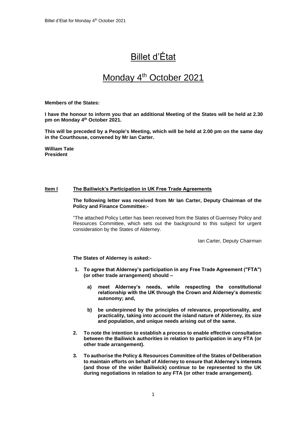## Billet d'État

### Monday 4<sup>th</sup> October 2021

#### **Members of the States:**

**I have the honour to inform you that an additional Meeting of the States will be held at 2.30 pm on Monday 4 th October 2021.** 

**This will be preceded by a People's Meeting, which will be held at 2.00 pm on the same day in the Courthouse, convened by Mr Ian Carter.**

**William Tate President**

#### **Item I The Bailiwick's Participation in UK Free Trade Agreements**

**The following letter was received from Mr Ian Carter, Deputy Chairman of the Policy and Finance Committee:-**

"The attached Policy Letter has been received from the States of Guernsey Policy and Resources Committee, which sets out the background to this subject for urgent consideration by the States of Alderney.

Ian Carter, Deputy Chairman

**The States of Alderney is asked:-**

- **1. To agree that Alderney's participation in any Free Trade Agreement ("FTA") (or other trade arrangement) should –**
	- **a) meet Alderney's needs, while respecting the constitutional relationship with the UK through the Crown and Alderney's domestic autonomy; and,**
	- **b) be underpinned by the principles of relevance, proportionality, and practicality, taking into account the island nature of Alderney, its size and population, and unique needs arising out of the same.**
- **2. To note the intention to establish a process to enable effective consultation between the Bailiwick authorities in relation to participation in any FTA (or other trade arrangement).**
- **3. To authorise the Policy & Resources Committee of the States of Deliberation to maintain efforts on behalf of Alderney to ensure that Alderney's interests (and those of the wider Bailiwick) continue to be represented to the UK during negotiations in relation to any FTA (or other trade arrangement).**